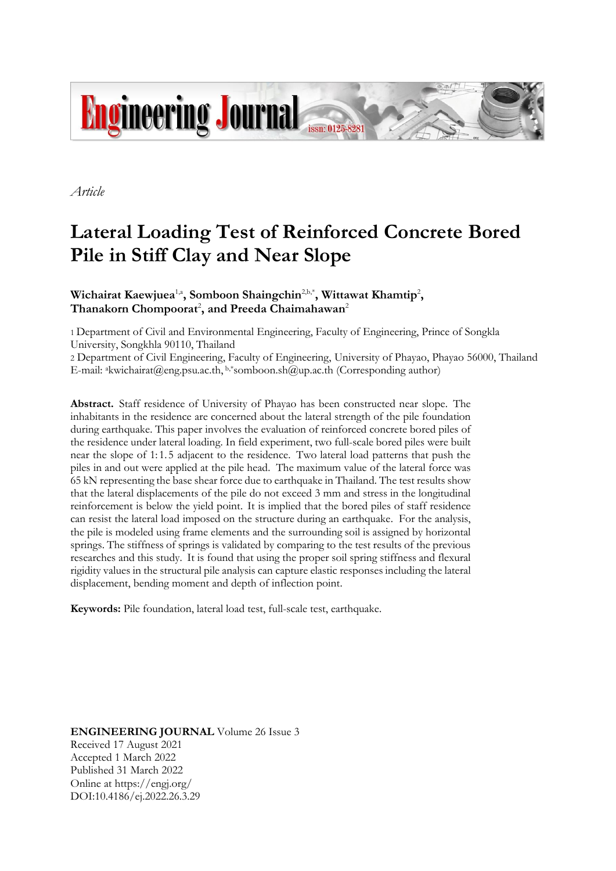

*Article*

# **Lateral Loading Test of Reinforced Concrete Bored Pile in Stiff Clay and Near Slope**

**Wichairat Kaewjuea<sup>1,a</sup>, Somboon Shaingchin<sup>2,b,\*</sup>, Wittawat Khamtip<sup>2</sup>,**  $\mathrm{Thanakorn}\ \mathrm{Chompoorat}^2,$  and  $\mathrm{Preeda}\ \mathrm{Chaimahawan}^2$ 

1 Department of Civil and Environmental Engineering, Faculty of Engineering, Prince of Songkla University, Songkhla 90110, Thailand

2 Department of Civil Engineering, Faculty of Engineering, University of Phayao, Phayao 56000, Thailand E-mail: <sup>a</sup>kwichairat@eng.psu.ac.th, b,\*somboon.sh@up.ac.th (Corresponding author)

**Abstract.** Staff residence of University of Phayao has been constructed near slope. The inhabitants in the residence are concerned about the lateral strength of the pile foundation during earthquake. This paper involves the evaluation of reinforced concrete bored piles of the residence under lateral loading. In field experiment, two full-scale bored piles were built near the slope of 1: 1. 5 adjacent to the residence. Two lateral load patterns that push the piles in and out were applied at the pile head. The maximum value of the lateral force was 65 kN representing the base shear force due to earthquake in Thailand. The test results show that the lateral displacements of the pile do not exceed 3 mm and stress in the longitudinal reinforcement is below the yield point. It is implied that the bored piles of staff residence can resist the lateral load imposed on the structure during an earthquake. For the analysis, the pile is modeled using frame elements and the surrounding soil is assigned by horizontal springs. The stiffness of springs is validated by comparing to the test results of the previous researches and this study. It is found that using the proper soil spring stiffness and flexural rigidity values in the structural pile analysis can capture elastic responses including the lateral displacement, bending moment and depth of inflection point.

**Keywords:** Pile foundation, lateral load test, full-scale test, earthquake.

**ENGINEERING JOURNAL** Volume 26 Issue 3 Received 17 August 2021 Accepted 1 March 2022 Published 31 March 2022 Online at https://engj.org/ DOI:10.4186/ej.2022.26.3.29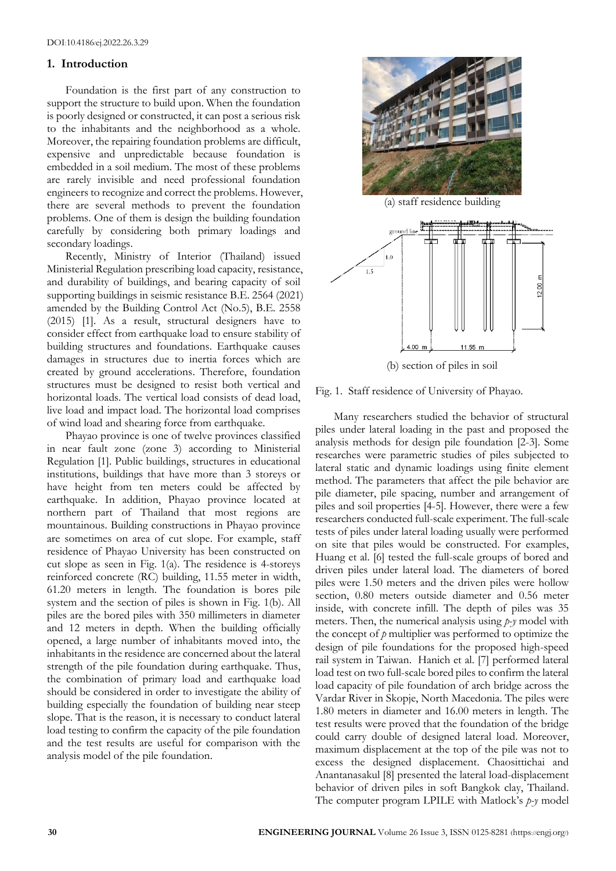## **1. Introduction**

Foundation is the first part of any construction to support the structure to build upon. When the foundation is poorly designed or constructed, it can post a serious risk to the inhabitants and the neighborhood as a whole. Moreover, the repairing foundation problems are difficult, expensive and unpredictable because foundation is embedded in a soil medium. The most of these problems are rarely invisible and need professional foundation engineers to recognize and correct the problems. However, there are several methods to prevent the foundation problems. One of them is design the building foundation carefully by considering both primary loadings and secondary loadings.

Recently, Ministry of Interior (Thailand) issued Ministerial Regulation prescribing load capacity, resistance, and durability of buildings, and bearing capacity of soil supporting buildings in seismic resistance B.E. 2564 (2021) amended by the Building Control Act (No.5), B.E. 2558 (2015) [1]. As a result, structural designers have to consider effect from earthquake load to ensure stability of building structures and foundations. Earthquake causes damages in structures due to inertia forces which are created by ground accelerations. Therefore, foundation structures must be designed to resist both vertical and horizontal loads. The vertical load consists of dead load, live load and impact load. The horizontal load comprises of wind load and shearing force from earthquake.

Phayao province is one of twelve provinces classified in near fault zone (zone 3) according to Ministerial Regulation [1]. Public buildings, structures in educational institutions, buildings that have more than 3 storeys or have height from ten meters could be affected by earthquake. In addition, Phayao province located at northern part of Thailand that most regions are mountainous. Building constructions in Phayao province are sometimes on area of cut slope. For example, staff residence of Phayao University has been constructed on cut slope as seen in Fig. 1(a). The residence is 4-storeys reinforced concrete (RC) building, 11.55 meter in width, 61.20 meters in length. The foundation is bores pile system and the section of piles is shown in Fig. 1(b). All piles are the bored piles with 350 millimeters in diameter and 12 meters in depth. When the building officially opened, a large number of inhabitants moved into, the inhabitants in the residence are concerned about the lateral strength of the pile foundation during earthquake. Thus, the combination of primary load and earthquake load should be considered in order to investigate the ability of building especially the foundation of building near steep slope. That is the reason, it is necessary to conduct lateral load testing to confirm the capacity of the pile foundation and the test results are useful for comparison with the analysis model of the pile foundation.



(b) section of piles in soil

Fig. 1. Staff residence of University of Phayao.

Many researchers studied the behavior of structural piles under lateral loading in the past and proposed the analysis methods for design pile foundation [2-3]. Some researches were parametric studies of piles subjected to lateral static and dynamic loadings using finite element method. The parameters that affect the pile behavior are pile diameter, pile spacing, number and arrangement of piles and soil properties [4-5]. However, there were a few researchers conducted full-scale experiment. The full-scale tests of piles under lateral loading usually were performed on site that piles would be constructed. For examples, Huang et al. [6] tested the full-scale groups of bored and driven piles under lateral load. The diameters of bored piles were 1.50 meters and the driven piles were hollow section, 0.80 meters outside diameter and 0.56 meter inside, with concrete infill. The depth of piles was 35 meters. Then, the numerical analysis using *p-y* model with the concept of *p* multiplier was performed to optimize the design of pile foundations for the proposed high-speed rail system in Taiwan. Hanich et al. [7] performed lateral load test on two full-scale bored piles to confirm the lateral load capacity of pile foundation of arch bridge across the Vardar River in Skopje, North Macedonia. The piles were 1.80 meters in diameter and 16.00 meters in length. The test results were proved that the foundation of the bridge could carry double of designed lateral load. Moreover, maximum displacement at the top of the pile was not to excess the designed displacement. Chaosittichai and Anantanasakul [8] presented the lateral load-displacement behavior of driven piles in soft Bangkok clay, Thailand. The computer program LPILE with Matlock's *p-y* model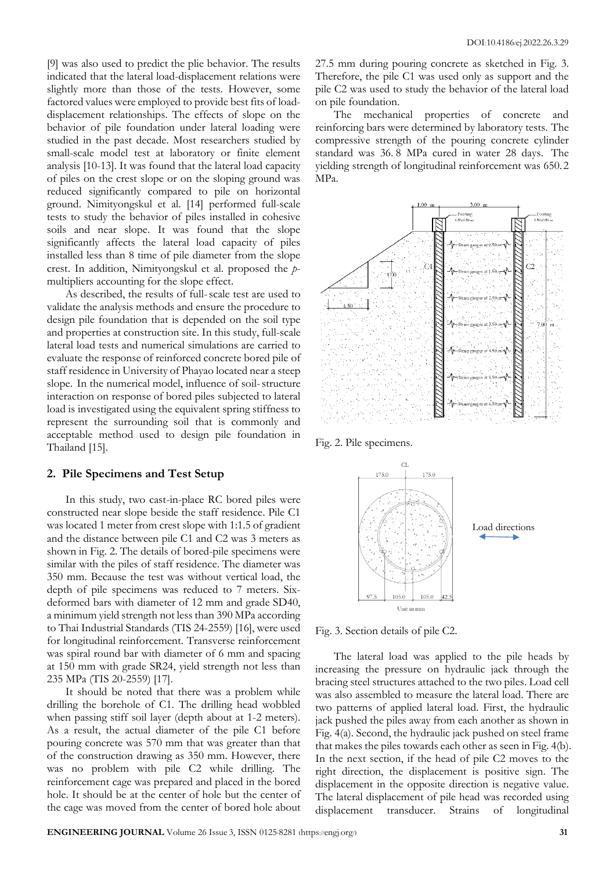[9] was also used to predict the plie behavior. The results indicated that the lateral load-displacement relations were slightly more than those of the tests. However, some factored values were employed to provide best fits of loaddisplacement relationships. The effects of slope on the behavior of pile foundation under lateral loading were studied in the past decade. Most researchers studied by small-scale model test at laboratory or finite element analysis [10-13]. It was found that the lateral load capacity of piles on the crest slope or on the sloping ground was reduced significantly compared to pile on horizontal ground. Nimityongskul et al. [14] performed full-scale tests to study the behavior of piles installed in cohesive soils and near slope. It was found that the slope significantly affects the lateral load capacity of piles installed less than 8 time of pile diameter from the slope crest. In addition, Nimityongskul et al. proposed the *p*multipliers accounting for the slope effect.

As described, the results of full-scale test are used to validate the analysis methods and ensure the procedure to design pile foundation that is depended on the soil type and properties at construction site. In this study, full-scale lateral load tests and numerical simulations are carried to evaluate the response of reinforced concrete bored pile of staff residence in University of Phayao located near a steep slope. In the numerical model, influence of soil-structure interaction on response of bored piles subjected to lateral load is investigated using the equivalent spring stiffness to represent the surrounding soil that is commonly and acceptable method used to design pile foundation in Thailand [15].

## **2. Pile Specimens and Test Setup**

In this study, two cast-in-place RC bored piles were constructed near slope beside the staff residence. Pile C1 was located 1 meter from crest slope with 1:1.5 of gradient and the distance between pile C1 and C2 was 3 meters as shown in Fig. 2. The details of bored-pile specimens were similar with the piles of staff residence. The diameter was 350 mm. Because the test was without vertical load, the depth of pile specimens was reduced to 7 meters. Sixdeformed bars with diameter of 12 mm and grade SD40, a minimum yield strength not less than 390 MPa according to Thai Industrial Standards (TIS 24-2559) [16], were used for longitudinal reinforcement. Transverse reinforcement was spiral round bar with diameter of 6 mm and spacing at 150 mm with grade SR24, yield strength not less than 235 MPa (TIS 20-2559) [17].

It should be noted that there was a problem while drilling the borehole of C1. The drilling head wobbled when passing stiff soil layer (depth about at 1-2 meters). As a result, the actual diameter of the pile C1 before pouring concrete was 570 mm that was greater than that of the construction drawing as 350 mm. However, there was no problem with pile C2 while drilling. The reinforcement cage was prepared and placed in the bored hole. It should be at the center of hole but the center of the cage was moved from the center of bored hole about

27.5 mm during pouring concrete as sketched in Fig. 3. Therefore, the pile C1 was used only as support and the pile C2 was used to study the behavior of the lateral load on pile foundation.

The mechanical properties of concrete and reinforcing bars were determined by laboratory tests. The compressive strength of the pouring concrete cylinder standard was 36. 8 MPa cured in water 28 days. The yielding strength of longitudinal reinforcement was 650. 2 MPa.



Fig. 2. Pile specimens.



Fig. 3. Section details of pile C2.

The lateral load was applied to the pile heads by increasing the pressure on hydraulic jack through the bracing steel structures attached to the two piles. Load cell was also assembled to measure the lateral load. There are two patterns of applied lateral load. First, the hydraulic jack pushed the piles away from each another as shown in Fig. 4(a). Second, the hydraulic jack pushed on steel frame that makes the piles towards each other as seen in Fig. 4(b). In the next section, if the head of pile C2 moves to the right direction, the displacement is positive sign. The displacement in the opposite direction is negative value. The lateral displacement of pile head was recorded using displacement transducer. Strains of longitudinal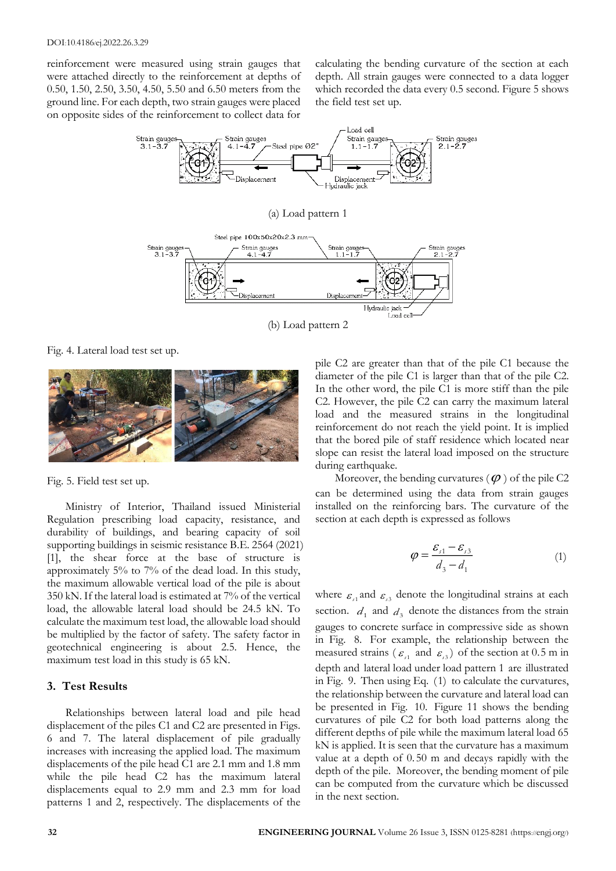reinforcement were measured using strain gauges that were attached directly to the reinforcement at depths of 0.50, 1.50, 2.50, 3.50, 4.50, 5.50 and 6.50 meters from the ground line. For each depth, two strain gauges were placed on opposite sides of the reinforcement to collect data for calculating the bending curvature of the section at each depth. All strain gauges were connected to a data logger which recorded the data every 0.5 second. Figure 5 shows the field test set up.



(b) Load pattern 2

Fig. 4. Lateral load test set up.



Fig. 5. Field test set up.

Ministry of Interior, Thailand issued Ministerial Regulation prescribing load capacity, resistance, and durability of buildings, and bearing capacity of soil supporting buildings in seismic resistance B.E. 2564 (2021) [1], the shear force at the base of structure is approximately 5% to 7% of the dead load. In this study, the maximum allowable vertical load of the pile is about 350 kN. If the lateral load is estimated at 7% of the vertical load, the allowable lateral load should be 24.5 kN. To calculate the maximum test load, the allowable load should be multiplied by the factor of safety. The safety factor in geotechnical engineering is about 2.5. Hence, the maximum test load in this study is 65 kN.

## **3. Test Results**

Relationships between lateral load and pile head displacement of the piles C1 and C2 are presented in Figs. 6 and 7. The lateral displacement of pile gradually increases with increasing the applied load. The maximum displacements of the pile head C1 are 2.1 mm and 1.8 mm while the pile head C2 has the maximum lateral displacements equal to 2.9 mm and 2.3 mm for load patterns 1 and 2, respectively. The displacements of the pile C2 are greater than that of the pile C1 because the diameter of the pile C1 is larger than that of the pile C2. In the other word, the pile C1 is more stiff than the pile C2. However, the pile C2 can carry the maximum lateral load and the measured strains in the longitudinal reinforcement do not reach the yield point. It is implied that the bored pile of staff residence which located near slope can resist the lateral load imposed on the structure during earthquake.

Moreover, the bending curvatures  $(\varphi)$  of the pile C2 can be determined using the data from strain gauges installed on the reinforcing bars. The curvature of the section at each depth is expressed as follows

$$
\varphi = \frac{\varepsilon_{s1} - \varepsilon_{s3}}{d_3 - d_1} \tag{1}
$$

where  $\varepsilon_{\text{A}}$  and  $\varepsilon_{\text{B}}$  denote the longitudinal strains at each section.  $d_1$  and  $d_3$  denote the distances from the strain gauges to concrete surface in compressive side as shown in Fig. 8. For example, the relationship between the measured strains ( $\varepsilon_{A}$  and  $\varepsilon_{B}$ ) of the section at 0.5 m in depth and lateral load under load pattern 1 are illustrated in Fig. 9. Then using Eq. (1) to calculate the curvatures, the relationship between the curvature and lateral load can be presented in Fig. 10. Figure 11 shows the bending curvatures of pile C2 for both load patterns along the different depths of pile while the maximum lateral load 65 kN is applied. It is seen that the curvature has a maximum value at a depth of 0. 50 m and decays rapidly with the depth of the pile. Moreover, the bending moment of pile can be computed from the curvature which be discussed in the next section.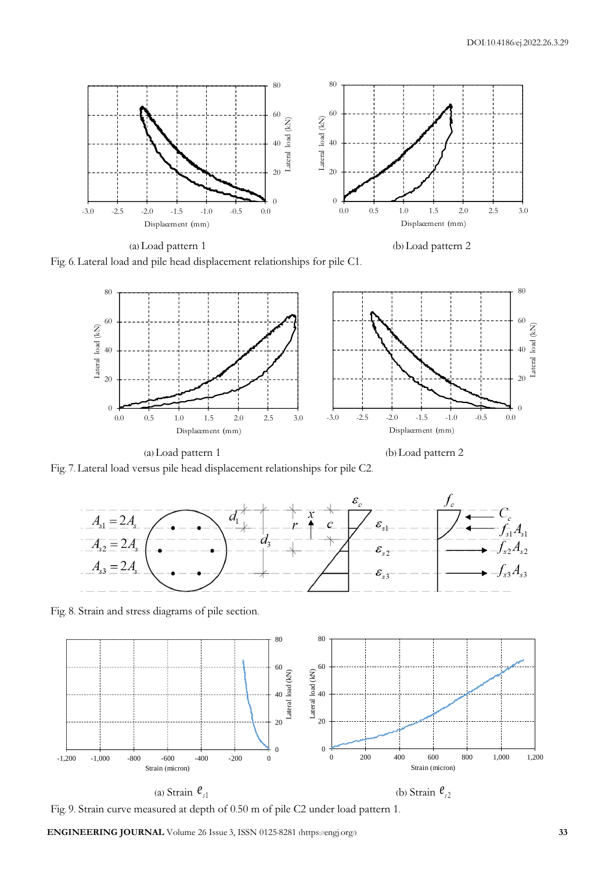

(a) Load pattern 1 (b) Load pattern 2

Fig. 6. Lateral load and pile head displacement relationships for pile C1.





Fig. 7. Lateral load versus pile head displacement relationships for pile C2.



Fig. 8. Strain and stress diagrams of pile section.



(a) Strain  $e_{\scriptscriptstyle{f}1}$ 

(b) Strain  $e_{32}$ 

Fig. 9. Strain curve measured at depth of 0.50 m of pile C2 under load pattern 1.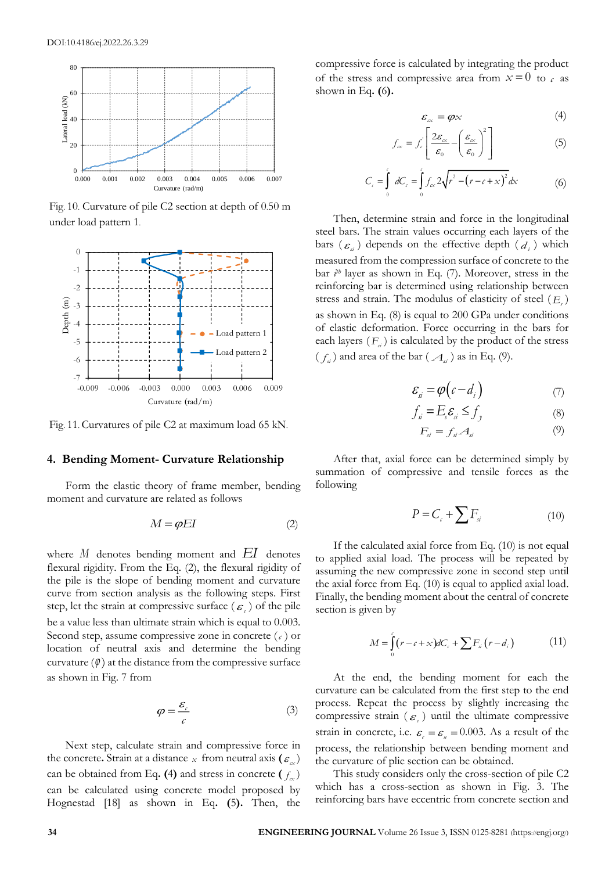

Fig. 10. Curvature of pile C2 section at depth of 0.50 m under load pattern 1.



Fig. 11. Curvatures of pile C2 at maximum load 65 kN.

## **4. Bending Moment- Curvature Relationship**

Form the elastic theory of frame member, bending moment and curvature are related as follows

$$
M = \varphi EI \tag{2}
$$

where *M* denotes bending moment and *EI* denotes flexural rigidity. From the Eq. (2), the flexural rigidity of the pile is the slope of bending moment and curvature curve from section analysis as the following steps. First step, let the strain at compressive surface  $(\varepsilon)$  of the pile be a value less than ultimate strain which is equal to 0.003. Second step, assume compressive zone in concrete  $(c)$  or location of neutral axis and determine the bending curvature  $(\varphi)$  at the distance from the compressive surface as shown in Fig. 7 from

$$
\varphi = \frac{\varepsilon_c}{c} \tag{3}
$$

Next step, calculate strain and compressive force in the concrete. Strain at a distance x from neutral axis ( $\varepsilon_{\alpha}$ ) can be obtained from Eq. (4) and stress in concrete  $(f_\alpha)$ can be calculated using concrete model proposed by Hognestad [18] as shown in Eq**. (**5**).** Then, the

compressive force is calculated by integrating the product of the stress and compressive area from  $x=0$  to  $c$  as shown in Eq**. (**6**).**

$$
\varepsilon_{\alpha} = \varphi \times \tag{4}
$$

$$
f_{\alpha} = f_{\epsilon} \left[ \frac{2\varepsilon_{\alpha}}{\varepsilon_0} - \left( \frac{\varepsilon_{\alpha}}{\varepsilon_0} \right)^2 \right]
$$
 (5)

$$
C_c = \int_{0}^{c} dC_c = \int_{0}^{c} f_{cx} 2\sqrt{r^2 - (r - c + x)^2} dx
$$
 (6)

Then, determine strain and force in the longitudinal steel bars. The strain values occurring each layers of the bars  $(\varepsilon_{i})$  depends on the effective depth  $(d_{i})$  which measured from the compression surface of concrete to the bar  $i<sup>th</sup>$  layer as shown in Eq. (7). Moreover, stress in the reinforcing bar is determined using relationship between stress and strain. The modulus of elasticity of steel ( *E s* ) as shown in Eq. (8) is equal to 200 GPa under conditions of elastic deformation. Force occurring in the bars for each layers  $(F_a)$  is calculated by the product of the stress  $(f_{\alpha})$  and area of the bar  $(\mathcal{A}_{\alpha})$  as in Eq. (9).

$$
\mathcal{E}_{si} = \varphi \big( c - d_i \big) \tag{7}
$$

$$
f_{si} = E_s \mathcal{E}_{si} \le f_{j}
$$
 (8)

$$
F_{si} = f_{si} A_{si} \tag{9}
$$

After that, axial force can be determined simply by summation of compressive and tensile forces as the following

$$
P = C_c + \sum F_{si} \tag{10}
$$

If the calculated axial force from Eq. (10) is not equal to applied axial load. The process will be repeated by assuming the new compressive zone in second step until the axial force from Eq. (10) is equal to applied axial load. Finally, the bending moment about the central of concrete section is given by

$$
M = \int_{0}^{c} (r - c + x) dC_c + \sum F_{si} (r - d_i)
$$
 (11)

At the end, the bending moment for each the curvature can be calculated from the first step to the end process. Repeat the process by slightly increasing the compressive strain ( $\varepsilon$ ) until the ultimate compressive strain in concrete, i.e.  $\varepsilon$ <sub>c</sub> =  $\varepsilon$ <sub>u</sub> = 0.003. As a result of the process, the relationship between bending moment and the curvature of plie section can be obtained.

This study considers only the cross-section of pile C2 which has a cross-section as shown in Fig. 3. The reinforcing bars have eccentric from concrete section and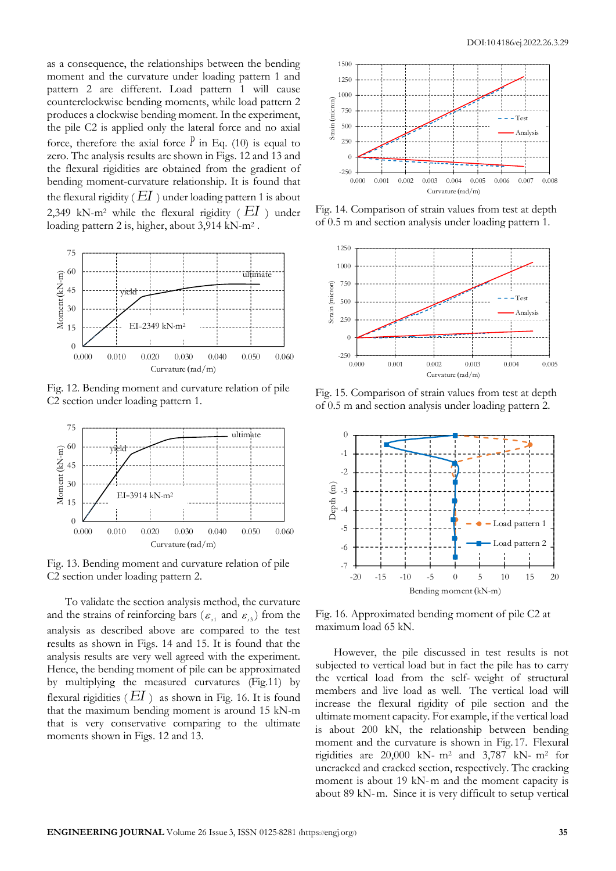as a consequence, the relationships between the bending moment and the curvature under loading pattern 1 and pattern 2 are different. Load pattern 1 will cause counterclockwise bending moments, while load pattern 2 produces a clockwise bending moment. In the experiment, the pile C2 is applied only the lateral force and no axial force, therefore the axial force  $\ell$  in Eq. (10) is equal to zero. The analysis results are shown in Figs. 12 and 13 and the flexural rigidities are obtained from the gradient of bending moment-curvature relationship. It is found that the flexural rigidity (  $EI$  ) under loading pattern 1 is about 2,349 kN-m<sup>2</sup> while the flexural rigidity ( $EI$ ) under loading pattern 2 is, higher, about 3,914 kN-m<sup>2</sup>.



Fig. 12. Bending moment and curvature relation of pile C2 section under loading pattern 1.



Fig. 13. Bending moment and curvature relation of pile C2 section under loading pattern 2.

To validate the section analysis method, the curvature and the strains of reinforcing bars ( $\varepsilon$ <sub>1</sub> and  $\varepsilon$ <sub>3</sub>) from the analysis as described above are compared to the test results as shown in Figs. 14 and 15. It is found that the analysis results are very well agreed with the experiment. Hence, the bending moment of pile can be approximated by multiplying the measured curvatures (Fig.11) by flexural rigidities ( *EI* ) as shown in Fig. 16. It is found that the maximum bending moment is around 15 kN-m that is very conservative comparing to the ultimate moments shown in Figs. 12 and 13.



Fig. 14. Comparison of strain values from test at depth of 0.5 m and section analysis under loading pattern 1.



Fig. 15. Comparison of strain values from test at depth of 0.5 m and section analysis under loading pattern 2.



Fig. 16. Approximated bending moment of pile C2 at maximum load 65 kN.

However, the pile discussed in test results is not subjected to vertical load but in fact the pile has to carry the vertical load from the self- weight of structural members and live load as well. The vertical load will increase the flexural rigidity of pile section and the ultimate moment capacity. For example, if the vertical load is about 200 kN, the relationship between bending moment and the curvature is shown in Fig. 17. Flexural rigidities are 20,000 kN- m<sup>2</sup> and 3,787 kN- m<sup>2</sup> for uncracked and cracked section, respectively. The cracking moment is about 19 kN-m and the moment capacity is about 89 kN-m. Since it is very difficult to setup vertical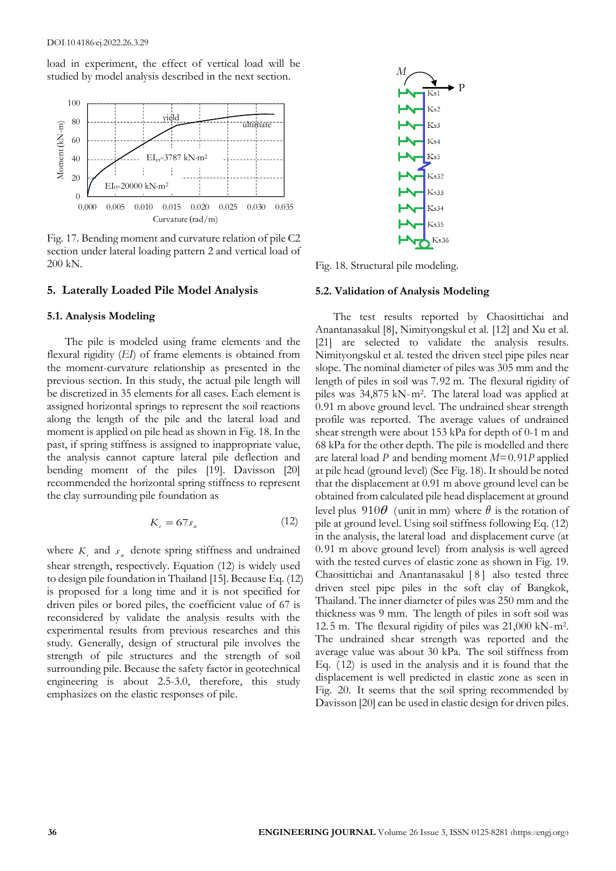load in experiment, the effect of vertical load will be studied by model analysis described in the next section.



Fig. 17. Bending moment and curvature relation of pile C2 section under lateral loading pattern 2 and vertical load of 200 kN.

### **5. Laterally Loaded Pile Model Analysis**

#### **5.1. Analysis Modeling**

The pile is modeled using frame elements and the flexural rigidity (*EI*) of frame elements is obtained from the moment-curvature relationship as presented in the previous section. In this study, the actual pile length will be discretized in 35 elements for all cases. Each element is assigned horizontal springs to represent the soil reactions along the length of the pile and the lateral load and moment is applied on pile head as shown in Fig. 18. In the past, if spring stiffness is assigned to inappropriate value, the analysis cannot capture lateral pile deflection and bending moment of the piles [19]. Davisson [20] recommended the horizontal spring stiffness to represent the clay surrounding pile foundation as

$$
K_s = 67s_u \tag{12}
$$

where  $K<sub>s</sub>$  and  $s<sub>u</sub>$  denote spring stiffness and undrained shear strength, respectively. Equation (12) is widely used to design pile foundation in Thailand [15]. Because Eq. (12) is proposed for a long time and it is not specified for driven piles or bored piles, the coefficient value of 67 is reconsidered by validate the analysis results with the experimental results from previous researches and this study. Generally, design of structural pile involves the strength of pile structures and the strength of soil surrounding pile. Because the safety factor in geotechnical engineering is about 2.5-3.0, therefore, this study emphasizes on the elastic responses of pile.



Fig. 18. Structural pile modeling.

#### **5.2. Validation of Analysis Modeling**

The test results reported by Chaosittichai and Anantanasakul [8], Nimityongskul et al. [12] and Xu et al. [21] are selected to validate the analysis results. Nimityongskul et al. tested the driven steel pipe piles near slope. The nominal diameter of piles was 305 mm and the length of piles in soil was 7.92 m. The flexural rigidity of piles was 34,875 kN-m<sup>2</sup> . The lateral load was applied at 0.91 m above ground level. The undrained shear strength profile was reported. The average values of undrained shear strength were about 153 kPa for depth of 0-1 m and 68 kPa for the other depth. The pile is modelled and there are lateral load *P* and bending moment *M*=0. 91*P* applied at pile head (ground level) (See Fig. 18). It should be noted that the displacement at 0.91 m above ground level can be obtained from calculated pile head displacement at ground level plus  $910\theta$  (unit in mm) where  $\theta$  is the rotation of pile at ground level. Using soil stiffness following Eq. (12) in the analysis, the lateral load and displacement curve (at 0. 91 m above ground level) from analysis is well agreed with the tested curves of elastic zone as shown in Fig. 19. Chaosittichai and Anantanasakul [8] also tested three driven steel pipe piles in the soft clay of Bangkok, Thailand. The inner diameter of piles was 250 mm and the thickness was 9 mm. The length of piles in soft soil was 12. 5 m. The flexural rigidity of piles was 21,000 kN-m<sup>2</sup> . The undrained shear strength was reported and the average value was about 30 kPa. The soil stiffness from Eq. ( 12) is used in the analysis and it is found that the displacement is well predicted in elastic zone as seen in Fig. 20. It seems that the soil spring recommended by Davisson [20] can be used in elastic design for driven piles.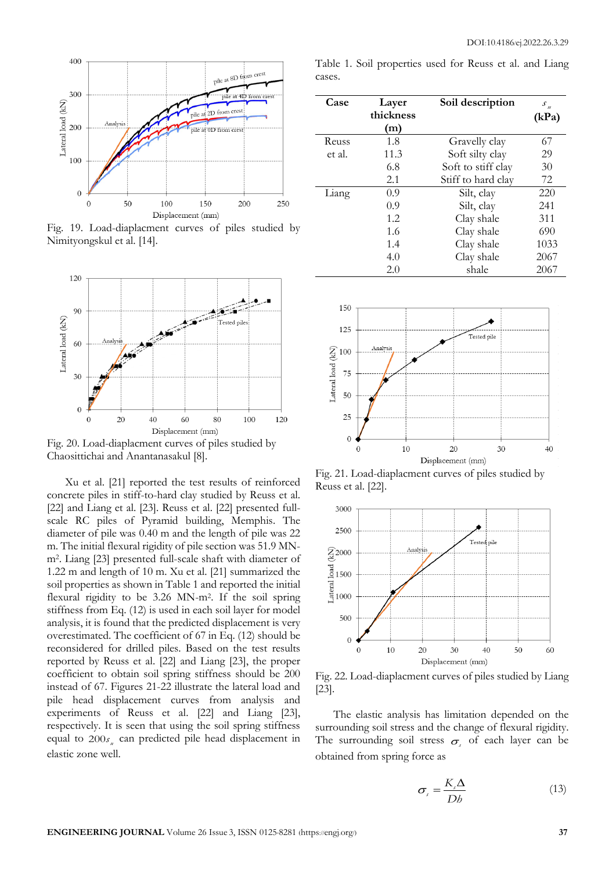

Fig. 19. Load-diaplacment curves of piles studied by Nimityongskul et al. [14].



Fig. 20. Load-diaplacment curves of piles studied by Chaosittichai and Anantanasakul [8].

Xu et al. [21] reported the test results of reinforced concrete piles in stiff-to-hard clay studied by Reuss et al. [22] and Liang et al. [23]. Reuss et al. [22] presented fullscale RC piles of Pyramid building, Memphis. The diameter of pile was 0.40 m and the length of pile was 22 m. The initial flexural rigidity of pile section was 51.9 MNm<sup>2</sup> . Liang [23] presented full-scale shaft with diameter of 1.22 m and length of 10 m. Xu et al. [21] summarized the soil properties as shown in Table 1 and reported the initial flexural rigidity to be 3.26 MN-m<sup>2</sup> . If the soil spring stiffness from Eq. (12) is used in each soil layer for model analysis, it is found that the predicted displacement is very overestimated. The coefficient of 67 in Eq. (12) should be reconsidered for drilled piles. Based on the test results reported by Reuss et al. [22] and Liang [23], the proper coefficient to obtain soil spring stiffness should be 200 instead of 67. Figures 21-22 illustrate the lateral load and pile head displacement curves from analysis and experiments of Reuss et al. [22] and Liang [23], respectively. It is seen that using the soil spring stiffness equal to  $200s_{\mu}$  can predicted pile head displacement in elastic zone well.

Table 1. Soil properties used for Reuss et al. and Liang cases.

| Case   | Layer<br>thickness | Soil description   | $S_{\mu}$<br>(kPa) |  |
|--------|--------------------|--------------------|--------------------|--|
|        | (m)                |                    |                    |  |
| Reuss  | 1.8                | Gravelly clay      | 67                 |  |
| et al. | 11.3               | Soft silty clay    | 29                 |  |
|        | 6.8                | Soft to stiff clay | 30                 |  |
|        | 2.1                | Stiff to hard clay | 72                 |  |
| Liang  | 0.9                | Silt, clay         | 220                |  |
|        | 0.9                | Silt, clay         | 241                |  |
|        | 1.2                | Clay shale         | 311                |  |
|        | 1.6                | Clay shale         | 690                |  |
|        | 1.4                | Clay shale         | 1033               |  |
|        | 4.0                | Clay shale         | 2067               |  |
|        | 2.0                | shale              | 2067               |  |



Fig. 21. Load-diaplacment curves of piles studied by Reuss et al. [22].



Fig. 22. Load-diaplacment curves of piles studied by Liang [23].

The elastic analysis has limitation depended on the surrounding soil stress and the change of flexural rigidity. The surrounding soil stress  $\sigma$ <sub>c</sub> of each layer can be obtained from spring force as

$$
\sigma_{s} = \frac{K_{s} \Delta}{D b}
$$
 (13)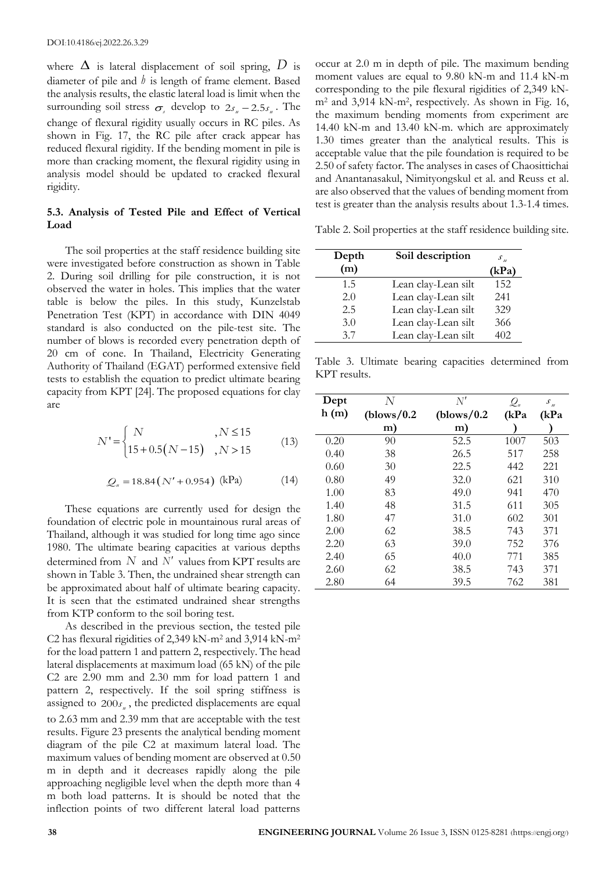where  $\Delta$  is lateral displacement of soil spring,  $D$  is diameter of pile and *h* is length of frame element. Based the analysis results, the elastic lateral load is limit when the surrounding soil stress  $\sigma_s$  develop to  $2s_u - 2.5s_u$ . The change of flexural rigidity usually occurs in RC piles. As shown in Fig. 17, the RC pile after crack appear has reduced flexural rigidity. If the bending moment in pile is more than cracking moment, the flexural rigidity using in analysis model should be updated to cracked flexural rigidity.

## **5.3. Analysis of Tested Pile and Effect of Vertical Load**

The soil properties at the staff residence building site were investigated before construction as shown in Table 2. During soil drilling for pile construction, it is not observed the water in holes. This implies that the water table is below the piles. In this study, Kunzelstab Penetration Test (KPT) in accordance with DIN 4049 standard is also conducted on the pile-test site. The number of blows is recorded every penetration depth of 20 cm of cone. In Thailand, Electricity Generating Authority of Thailand (EGAT) performed extensive field tests to establish the equation to predict ultimate bearing capacity from KPT [24]. The proposed equations for clay are

$$
N' = \begin{cases} N, & N \le 15\\ 15 + 0.5(N - 15), & N > 15 \end{cases}
$$
 (13)

$$
Q_u = 18.84 (N' + 0.954) \text{ (kPa)} \tag{14}
$$

These equations are currently used for design the foundation of electric pole in mountainous rural areas of Thailand, although it was studied for long time ago since 1980. The ultimate bearing capacities at various depths determined from  $N$  and  $N'$  values from KPT results are shown in Table 3. Then, the undrained shear strength can be approximated about half of ultimate bearing capacity. It is seen that the estimated undrained shear strengths from KTP conform to the soil boring test.

As described in the previous section, the tested pile C2 has flexural rigidities of 2,349 kN-m<sup>2</sup> and 3,914 kN-m<sup>2</sup> for the load pattern 1 and pattern 2, respectively. The head lateral displacements at maximum load (65 kN) of the pile C2 are 2.90 mm and 2.30 mm for load pattern 1 and pattern 2, respectively. If the soil spring stiffness is assigned to  $200s_{\mu}$ , the predicted displacements are equal to 2.63 mm and 2.39 mm that are acceptable with the test results. Figure 23 presents the analytical bending moment diagram of the pile C2 at maximum lateral load. The maximum values of bending moment are observed at 0.50 m in depth and it decreases rapidly along the pile approaching negligible level when the depth more than 4 m both load patterns. It is should be noted that the inflection points of two different lateral load patterns

occur at 2.0 m in depth of pile. The maximum bending moment values are equal to 9.80 kN-m and 11.4 kN-m corresponding to the pile flexural rigidities of 2,349 kNm<sup>2</sup> and 3,914 kN-m<sup>2</sup> , respectively. As shown in Fig. 16, the maximum bending moments from experiment are 14.40 kN-m and 13.40 kN-m. which are approximately 1.30 times greater than the analytical results. This is acceptable value that the pile foundation is required to be 2.50 of safety factor. The analyses in cases of Chaosittichai and Anantanasakul, Nimityongskul et al. and Reuss et al. are also observed that the values of bending moment from test is greater than the analysis results about 1.3-1.4 times.

Table 2. Soil properties at the staff residence building site.

| Depth | Soil description    | $S_{u}$ |
|-------|---------------------|---------|
| (m)   |                     | (kPa)   |
| 1.5   | Lean clay-Lean silt | 152     |
| 2.0   | Lean clay-Lean silt | 241     |
| 2.5   | Lean clay-Lean silt | 329     |
| 3.0   | Lean clay-Lean silt | 366     |
| 3.7   | Lean clay-Lean silt | 402     |

Table 3. Ultimate bearing capacities determined from KPT results.

| Dept | N           | $N^{\prime}$ | $\mathcal{Q}_{\scriptscriptstyle \text{W}}$ | $\mathcal{S}_u$ |
|------|-------------|--------------|---------------------------------------------|-----------------|
| h(m) | (blows/0.2) | (blows/0.2)  | (kPa                                        | (kPa            |
|      | m)          | m)           |                                             |                 |
| 0.20 | 90          | 52.5         | 1007                                        | 503             |
| 0.40 | 38          | 26.5         | 517                                         | 258             |
| 0.60 | 30          | 22.5         | 442                                         | 221             |
| 0.80 | 49          | 32.0         | 621                                         | 310             |
| 1.00 | 83          | 49.0         | 941                                         | 470             |
| 1.40 | 48          | 31.5         | 611                                         | 305             |
| 1.80 | 47          | 31.0         | 602                                         | 301             |
| 2.00 | 62          | 38.5         | 743                                         | 371             |
| 2.20 | 63          | 39.0         | 752                                         | 376             |
| 2.40 | 65          | 40.0         | 771                                         | 385             |
| 2.60 | 62          | 38.5         | 743                                         | 371             |
| 2.80 | 64          | 39.5         | 762                                         | 381             |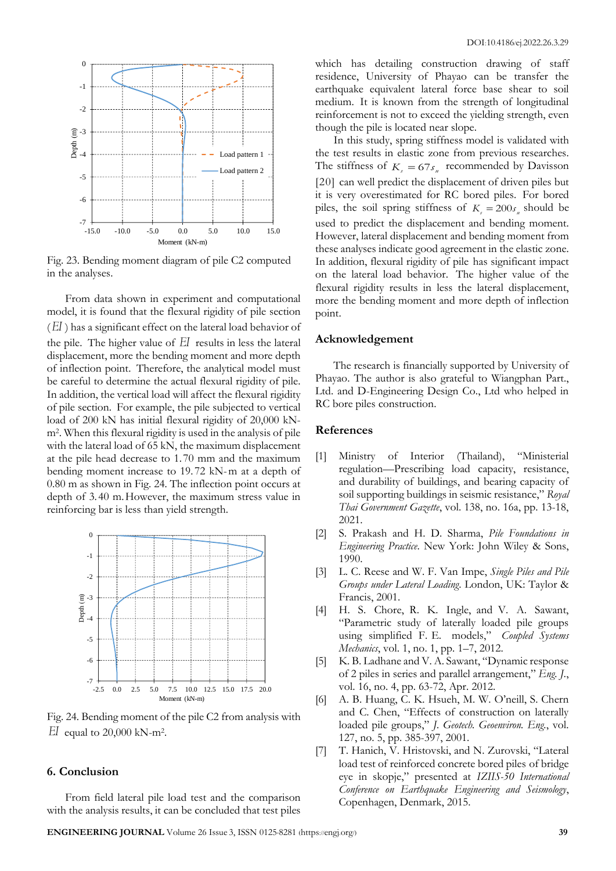

Fig. 23. Bending moment diagram of pile C2 computed in the analyses.

From data shown in experiment and computational model, it is found that the flexural rigidity of pile section ( *EI* ) has a significant effect on the lateral load behavior of the pile. The higher value of *EI* results in less the lateral displacement, more the bending moment and more depth of inflection point. Therefore, the analytical model must be careful to determine the actual flexural rigidity of pile. In addition, the vertical load will affect the flexural rigidity of pile section. For example, the pile subjected to vertical load of 200 kN has initial flexural rigidity of 20,000 kNm<sup>2</sup> . When this flexural rigidity is used in the analysis of pile with the lateral load of 65 kN, the maximum displacement at the pile head decrease to 1. 70 mm and the maximum bending moment increase to 19. 72 kN-m at a depth of 0.80 m as shown in Fig. 24. The inflection point occurs at depth of 3. 40 m.However, the maximum stress value in reinforcing bar is less than yield strength.



Fig. 24. Bending moment of the pile C2 from analysis with  $EI$  equal to 20,000 kN-m<sup>2</sup>.

#### **6. Conclusion**

From field lateral pile load test and the comparison with the analysis results, it can be concluded that test piles which has detailing construction drawing of staff residence, University of Phayao can be transfer the earthquake equivalent lateral force base shear to soil medium. It is known from the strength of longitudinal reinforcement is not to exceed the yielding strength, even though the pile is located near slope.

In this study, spring stiffness model is validated with the test results in elastic zone from previous researches. The stiffness of  $K_s = 67s_u$  recommended by Davisson [20] can well predict the displacement of driven piles but it is very overestimated for RC bored piles. For bored piles, the soil spring stiffness of  $K<sub>s</sub> = 200 s<sub>u</sub>$  should be used to predict the displacement and bending moment. However, lateral displacement and bending moment from these analyses indicate good agreement in the elastic zone. In addition, flexural rigidity of pile has significant impact on the lateral load behavior. The higher value of the flexural rigidity results in less the lateral displacement, more the bending moment and more depth of inflection point.

#### **Acknowledgement**

The research is financially supported by University of Phayao. The author is also grateful to Wiangphan Part., Ltd. and D-Engineering Design Co., Ltd who helped in RC bore piles construction.

## **References**

- [1] Ministry of Interior (Thailand), "Ministerial regulation—Prescribing load capacity, resistance, and durability of buildings, and bearing capacity of soil supporting buildings in seismic resistance," *Royal Thai Government Gazette*, vol. 138, no. 16a, pp. 13-18, 2021.
- [2] S. Prakash and H. D. Sharma, *Pile Foundations in Engineering Practice*. New York: John Wiley & Sons, 1990.
- [3] L. C. Reese and W. F. Van Impe, *Single Piles and Pile Groups under Lateral Loading*. London, UK: Taylor & Francis, 2001.
- [4] H. S. Chore, R. K. Ingle, and V. A. Sawant, "Parametric study of laterally loaded pile groups using simplified F. E. models," *Coupled Systems Mechanics*, vol. 1, no. 1, pp. 1–7, 2012.
- [5] K. B. Ladhane and V. A. Sawant, "Dynamic response of 2 piles in series and parallel arrangement," *Eng. J.*, vol. 16, no. 4, pp. 63-72, Apr. 2012.
- [6] A. B. Huang, C. K. Hsueh, M. W. O'neill, S. Chern and C. Chen, "Effects of construction on laterally loaded pile groups," *J. Geotech. Geoenviron. Eng.*, vol. 127, no. 5, pp. 385-397, 2001.
- [7] T. Hanich, V. Hristovski, and N. Zurovski, "Lateral load test of reinforced concrete bored piles of bridge eye in skopje," presented at *IZIIS-50 International Conference on Earthquake Engineering and Seismology*, Copenhagen, Denmark, 2015.